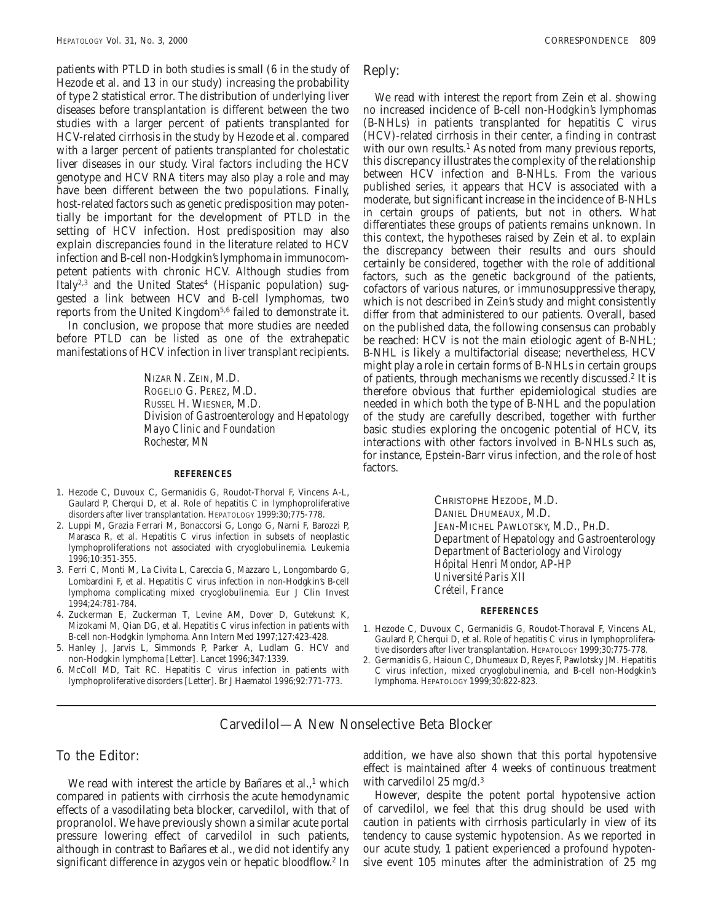patients with PTLD in both studies is small (6 in the study of Hezode et al. and 13 in our study) increasing the probability of type 2 statistical error. The distribution of underlying liver diseases before transplantation is different between the two studies with a larger percent of patients transplanted for HCV-related cirrhosis in the study by Hezode et al. compared with a larger percent of patients transplanted for cholestatic liver diseases in our study. Viral factors including the HCV genotype and HCV RNA titers may also play a role and may have been different between the two populations. Finally, host-related factors such as genetic predisposition may potentially be important for the development of PTLD in the setting of HCV infection. Host predisposition may also explain discrepancies found in the literature related to HCV infection and B-cell non-Hodgkin's lymphoma in immunocompetent patients with chronic HCV. Although studies from Italy<sup>2,3</sup> and the United States<sup>4</sup> (Hispanic population) suggested a link between HCV and B-cell lymphomas, two reports from the United Kingdom<sup>5,6</sup> failed to demonstrate it.

In conclusion, we propose that more studies are needed before PTLD can be listed as one of the extrahepatic manifestations of HCV infection in liver transplant recipients.

> NIZAR N. ZEIN, M.D. ROGELIO G. PEREZ, M.D. RUSSEL H. WIESNER, M.D. *Division of Gastroenterology and Hepatology Mayo Clinic and Foundation Rochester, MN*

### **REFERENCES**

- 1. Hezode C, Duvoux C, Germanidis G, Roudot-Thorval F, Vincens A-L, Gaulard P, Cherqui D, et al. Role of hepatitis C in lymphoproliferative disorders after liver transplantation. HEPATOLOGY 1999:30;775-778.
- 2. Luppi M, Grazia Ferrari M, Bonaccorsi G, Longo G, Narni F, Barozzi P, Marasca R, et al. Hepatitis C virus infection in subsets of neoplastic lymphoproliferations not associated with cryoglobulinemia. Leukemia 1996;10:351-355.
- 3. Ferri C, Monti M, La Civita L, Careccia G, Mazzaro L, Longombardo G, Lombardini F, et al. Hepatitis C virus infection in non-Hodgkin's B-cell lymphoma complicating mixed cryoglobulinemia. Eur J Clin Invest 1994;24:781-784.
- 4. Zuckerman E, Zuckerman T, Levine AM, Dover D, Gutekunst K, Mizokami M, Qian DG, et al. Hepatitis C virus infection in patients with B-cell non-Hodgkin lymphoma. Ann Intern Med 1997;127:423-428.
- 5. Hanley J, Jarvis L, Simmonds P, Parker A, Ludlam G. HCV and non-Hodgkin lymphoma [Letter]. Lancet 1996;347:1339.
- 6. McColl MD, Tait RC. Hepatitis C virus infection in patients with lymphoproliferative disorders [Letter]. Br J Haematol 1996;92:771-773.

### Reply:

We read with interest the report from Zein et al. showing no increased incidence of B-cell non-Hodgkin's lymphomas (B-NHLs) in patients transplanted for hepatitis C virus (HCV)-related cirrhosis in their center, a finding in contrast with our own results.<sup>1</sup> As noted from many previous reports, this discrepancy illustrates the complexity of the relationship between HCV infection and B-NHLs. From the various published series, it appears that HCV is associated with a moderate, but significant increase in the incidence of B-NHLs in certain groups of patients, but not in others. What differentiates these groups of patients remains unknown. In this context, the hypotheses raised by Zein et al. to explain the discrepancy between their results and ours should certainly be considered, together with the role of additional factors, such as the genetic background of the patients, cofactors of various natures, or immunosuppressive therapy, which is not described in Zein's study and might consistently differ from that administered to our patients. Overall, based on the published data, the following consensus can probably be reached: HCV is not the main etiologic agent of B-NHL; B-NHL is likely a multifactorial disease; nevertheless, HCV might play a role in certain forms of B-NHLs in certain groups of patients, through mechanisms we recently discussed.<sup>2</sup> It is therefore obvious that further epidemiological studies are needed in which both the type of B-NHL and the population of the study are carefully described, together with further basic studies exploring the oncogenic potential of HCV, its interactions with other factors involved in B-NHLs such as, for instance, Epstein-Barr virus infection, and the role of host factors.

> CHRISTOPHE HEZODE, M.D. DANIEL DHUMEAUX, M.D. JEAN-MICHEL PAWLOTSKY, M.D., PH.D. *Department of Hepatology and Gastroenterology Department of Bacteriology and Virology Hoˆpital Henri Mondor, AP-HP Universite´ Paris XII Cre´teil, France*

#### **REFERENCES**

1. Hezode C, Duvoux C, Germanidis G, Roudot-Thoraval F, Vincens AL, Gaulard P, Cherqui D, et al. Role of hepatitis C virus in lymphoproliferative disorders after liver transplantation. HEPATOLOGY 1999;30:775-778.

2. Germanidis G, Haioun C, Dhumeaux D, Reyes F, Pawlotsky JM. Hepatitis C virus infection, mixed cryoglobulinemia, and B-cell non-Hodgkin's lymphoma. HEPATOLOGY 1999;30:822-823.

# Carvedilol—A New Nonselective Beta Blocker

## To the Editor:

We read with interest the article by Bañares et al.,<sup>1</sup> which compared in patients with cirrhosis the acute hemodynamic effects of a vasodilating beta blocker, carvedilol, with that of propranolol. We have previously shown a similar acute portal pressure lowering effect of carvedilol in such patients, although in contrast to Bañares et al., we did not identify any significant difference in azygos vein or hepatic bloodflow.<sup>2</sup> In

addition, we have also shown that this portal hypotensive effect is maintained after 4 weeks of continuous treatment with carvedilol 25 mg/d.<sup>3</sup>

However, despite the potent portal hypotensive action of carvedilol, we feel that this drug should be used with caution in patients with cirrhosis particularly in view of its tendency to cause systemic hypotension. As we reported in our acute study, 1 patient experienced a profound hypotensive event 105 minutes after the administration of 25 mg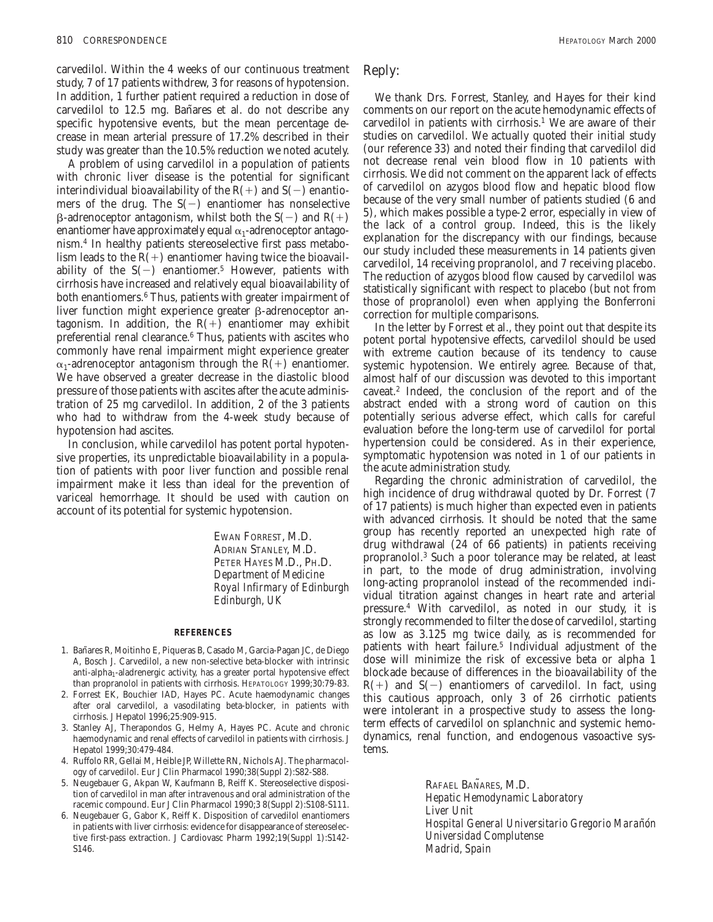carvedilol. Within the 4 weeks of our continuous treatment study, 7 of 17 patients withdrew, 3 for reasons of hypotension. In addition, 1 further patient required a reduction in dose of carvedilol to 12.5 mg. Bañares et al. do not describe any specific hypotensive events, but the mean percentage decrease in mean arterial pressure of 17.2% described in their study was greater than the 10.5% reduction we noted acutely.

A problem of using carvedilol in a population of patients with chronic liver disease is the potential for significant interindividual bioavailability of the  $R(+)$  and  $S(-)$  enantiomers of the drug. The  $S(-)$  enantiomer has nonselective  $\beta$ -adrenoceptor antagonism, whilst both the  $S(-)$  and  $R(+)$ enantiomer have approximately equal  $\alpha_1$ -adrenoceptor antagonism.4 In healthy patients stereoselective first pass metabolism leads to the  $R(+)$  enantiomer having twice the bioavailability of the  $S(-)$  enantiomer.<sup>5</sup> However, patients with cirrhosis have increased and relatively equal bioavailability of both enantiomers.<sup>6</sup> Thus, patients with greater impairment of liver function might experience greater β-adrenoceptor antagonism. In addition, the  $R(+)$  enantiomer may exhibit preferential renal clearance.<sup>6</sup> Thus, patients with ascites who commonly have renal impairment might experience greater  $\alpha_1$ -adrenoceptor antagonism through the R(+) enantiomer. We have observed a greater decrease in the diastolic blood pressure of those patients with ascites after the acute administration of 25 mg carvedilol. In addition, 2 of the 3 patients who had to withdraw from the 4-week study because of hypotension had ascites.

In conclusion, while carvedilol has potent portal hypotensive properties, its unpredictable bioavailability in a population of patients with poor liver function and possible renal impairment make it less than ideal for the prevention of variceal hemorrhage. It should be used with caution on account of its potential for systemic hypotension.

> EWAN FORREST, M.D. ADRIAN STANLEY, M.D. PETER HAYES M.D., PH.D. *Department of Medicine Royal Infirmary of Edinburgh Edinburgh, UK*

#### **REFERENCES**

- 1. Bañares R, Moitinho E, Piqueras B, Casado M, Garcia-Pagan JC, de Diego A, Bosch J. Carvedilol, a new non-selective beta-blocker with intrinsic anti-alpha<sub>1</sub>-aladrenergic activity, has a greater portal hypotensive effect than propranolol in patients with cirrhosis. HEPATOLOGY 1999;30:79-83.
- 2. Forrest EK, Bouchier IAD, Hayes PC. Acute haemodynamic changes after oral carvedilol, a vasodilating beta-blocker, in patients with cirrhosis. J Hepatol 1996;25:909-915.
- 3. Stanley AJ, Therapondos G, Helmy A, Hayes PC. Acute and chronic haemodynamic and renal effects of carvedilol in patients with cirrhosis. J Hepatol 1999;30:479-484.
- 4. Ruffolo RR, Gellai M, Heible JP, Willette RN, Nichols AJ. The pharmacology of carvedilol. Eur J Clin Pharmacol 1990;38(Suppl 2):S82-S88.
- 5. Neugebauer G, Akpan W, Kaufmann B, Reiff K. Stereoselective disposition of carvedilol in man after intravenous and oral administration of the racemic compound. Eur J Clin Pharmacol 1990;3 8(Suppl 2):S108-S111.
- 6. Neugebauer G, Gabor K, Reiff K. Disposition of carvedilol enantiomers in patients with liver cirrhosis: evidence for disappearance of stereoselective first-pass extraction. J Cardiovasc Pharm 1992;19(Suppl 1):S142- S146.

## Reply:

We thank Drs. Forrest, Stanley, and Hayes for their kind comments on our report on the acute hemodynamic effects of carvedilol in patients with cirrhosis.<sup>1</sup> We are aware of their studies on carvedilol. We actually quoted their initial study (our reference 33) and noted their finding that carvedilol did not decrease renal vein blood flow in 10 patients with cirrhosis. We did not comment on the apparent lack of effects of carvedilol on azygos blood flow and hepatic blood flow because of the very small number of patients studied (6 and 5), which makes possible a type-2 error, especially in view of the lack of a control group. Indeed, this is the likely explanation for the discrepancy with our findings, because our study included these measurements in 14 patients given carvedilol, 14 receiving propranolol, and 7 receiving placebo. The reduction of azygos blood flow caused by carvedilol was statistically significant with respect to placebo (but not from those of propranolol) even when applying the Bonferroni correction for multiple comparisons.

In the letter by Forrest et al., they point out that despite its potent portal hypotensive effects, carvedilol should be used with extreme caution because of its tendency to cause systemic hypotension. We entirely agree. Because of that, almost half of our discussion was devoted to this important caveat.2 Indeed, the conclusion of the report and of the abstract ended with a strong word of caution on this potentially serious adverse effect, which calls for careful evaluation before the long-term use of carvedilol for portal hypertension could be considered. As in their experience, symptomatic hypotension was noted in 1 of our patients in the acute administration study.

Regarding the chronic administration of carvedilol, the high incidence of drug withdrawal quoted by Dr. Forrest (7 of 17 patients) is much higher than expected even in patients with advanced cirrhosis. It should be noted that the same group has recently reported an unexpected high rate of drug withdrawal (24 of 66 patients) in patients receiving propranolol.3 Such a poor tolerance may be related, at least in part, to the mode of drug administration, involving long-acting propranolol instead of the recommended individual titration against changes in heart rate and arterial pressure.4 With carvedilol, as noted in our study, it is strongly recommended to filter the dose of carvedilol, starting as low as 3.125 mg twice daily, as is recommended for patients with heart failure.<sup>5</sup> Individual adjustment of the dose will minimize the risk of excessive beta or alpha 1 blockade because of differences in the bioavailability of the  $R(+)$  and  $S(-)$  enantiomers of carvedilol. In fact, using this cautious approach, only 3 of 26 cirrhotic patients were intolerant in a prospective study to assess the longterm effects of carvedilol on splanchnic and systemic hemodynamics, renal function, and endogenous vasoactive systems.

> RAFAEL BAÑARES, M.D. *Hepatic Hemodynamic Laboratory Liver Unit Hospital General Universitario Gregorio Maran˜o´n Universidad Complutense Madrid, Spain*